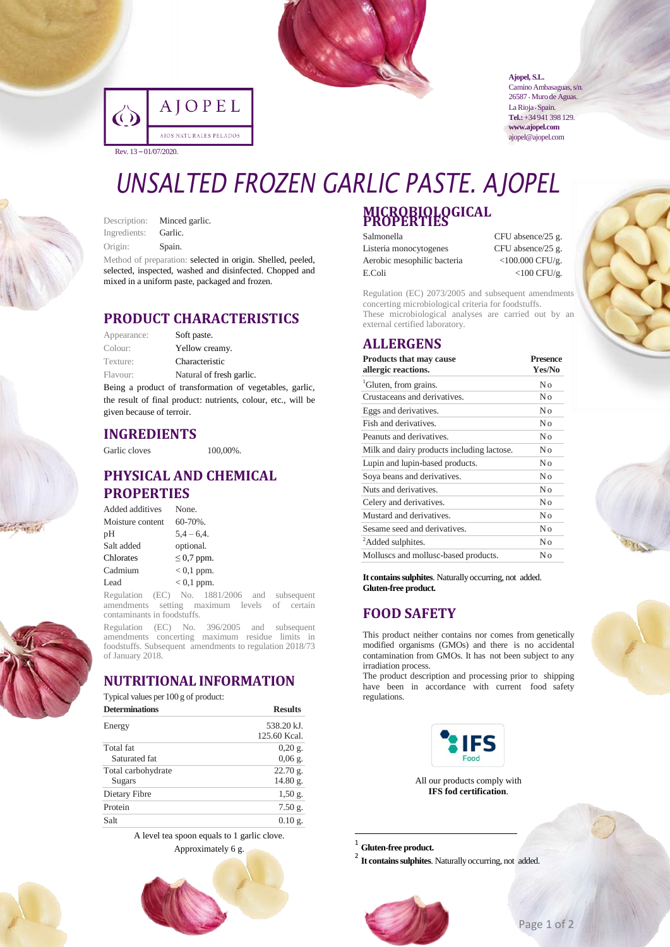

|                       | AJOPEL                 |  |
|-----------------------|------------------------|--|
|                       | AJOS NATURALES PELADOS |  |
| Rev. 13 - 01/07/2020. |                        |  |

**Ajopel, S.L.** Camino Ambasaguas, s/n.

26587 • Muro de Aguas. La Rioja · Spain. **Tel.:**+34 941 398 129. **www.ajopel.com** ajopel@ajopel.com

## *UNSALTED FROZEN GARLIC PASTE. AJOPEL* **MICROBIOLOGICAL PROPERTIES**

Description: Minced garlic. Ingredients: Garlic. Origin: Spain.

Method of preparation: selected in origin. Shelled, peeled, selected, inspected, washed and disinfected. Chopped and mixed in a uniform paste, packaged and frozen.

### **PRODUCT CHARACTERISTICS**

| Appearance: | Soft paste.              |
|-------------|--------------------------|
| Colour:     | Yellow creamy.           |
| Texture:    | Characteristic           |
| Flavour:    | Natural of fresh garlic. |

Being a product of transformation of vegetables, garlic, the result of final product: nutrients, colour, etc., will be given because of terroir.

### **INGREDIENTS**

Garlic cloves 100,00%.

### **PHYSICAL AND CHEMICAL PROPERTIES**

| Added additives  | None.           |
|------------------|-----------------|
| Moisture content | $60 - 70\%$ .   |
| рH               | $5.4 - 6.4.$    |
| Salt added       | optional.       |
| Chlorates        | $\leq$ 0.7 ppm. |
| Cadmium          | $< 0.1$ ppm.    |
| Lead             | $< 0.1$ ppm.    |

Regulation (EC) No. 1881/2006 and subsequent amendments setting maximum levels of certain contaminants in foodstuffs.

Regulation (EC) No. 396/2005 and subsequent amendments concerting maximum residue limits in foodstuffs. Subsequent amendments to regulation 2018/73 of January 2018.

### **NUTRITIONAL INFORMATION**

| <b>Determinations</b> | <b>Results</b>     |  |
|-----------------------|--------------------|--|
| Energy                | 538.20 kJ.         |  |
|                       | 125.60 Kcal.       |  |
| Total fat             | $0,20 \text{ g}$ . |  |
| Saturated fat         | $0,06$ g.          |  |
| Total carbohydrate    | 22.70 g.           |  |
| Sugars                | 14.80 g.           |  |
| Dietary Fibre         | $1,50$ g.          |  |
| Protein               | $7.50$ g.          |  |
| Salt                  | $0.10 \text{ g}$ . |  |

A level tea spoon equals to 1 garlic clove.





### Salmonella CFU absence/25 g. Listeria monocytogenes CFU absence/25 g.

Aerobic mesophilic bacteria <100.000 CFU/g. E.Coli <100 CFU/g.

Regulation (EC) 2073/2005 and subsequent amendments concerting microbiological criteria for foodstuffs. These microbiological analyses are carried out by an external certified laboratory.

### **ALLERGENS**

| <b>Products that may cause</b><br>allergic reactions. | <b>Presence</b><br>Yes/No |
|-------------------------------------------------------|---------------------------|
| <sup>1</sup> Gluten, from grains.                     | No                        |
| Crustaceans and derivatives.                          | No                        |
| Eggs and derivatives.                                 | No                        |
| Fish and derivatives.                                 | No                        |
| Peanuts and derivatives.                              | No                        |
| Milk and dairy products including lactose.            | Nο                        |
| Lupin and lupin-based products.                       | No                        |
| Soya beans and derivatives.                           | No                        |
| Nuts and derivatives.                                 | No                        |
| Celery and derivatives.                               | No                        |
| Mustard and derivatives.                              | No                        |
| Sesame seed and derivatives.                          | No                        |
| <sup>2</sup> Added sulphites.                         | No                        |
| Molluscs and mollusc-based products.                  | Nο                        |

It contains sulphites. Naturally occurring, not added. **Gluten-free product.**

### **FOOD SAFETY**

This product neither contains nor comes from genetically modified organisms (GMOs) and there is no accidental contamination from GMOs. It has not been subject to any irradiation process.

The product description and processing prior to shipping have been in accordance with current food safety regulations.



All our products comply with **IFS fod certification**.

1 **Gluten-free product.**

1

<sup>2</sup> It contains sulphites. Naturally occurring, not added.